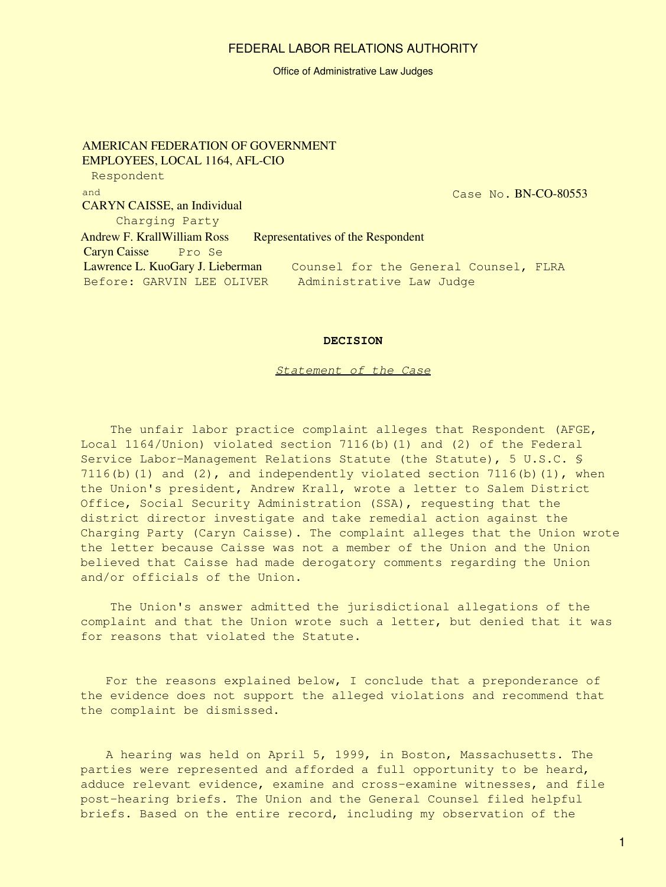#### Office of Administrative Law Judges

AMERICAN FEDERATION OF GOVERNMENT EMPLOYEES, LOCAL 1164, AFL-CIO Respondent and CARYN CAISSE, an Individual Charging Party Case No. BN-CO-80553 Andrew F. KrallWilliam Ross Representatives of the Respondent Caryn Caisse Pro Se Lawrence L. KuoGary J. Lieberman Counsel for the General Counsel, FLRA Before: GARVIN LEE OLIVER Administrative Law Judge

#### **DECISION**

#### *Statement of the Case*

The unfair labor practice complaint alleges that Respondent (AFGE, Local 1164/Union) violated section 7116(b)(1) and (2) of the Federal Service Labor-Management Relations Statute (the Statute), 5 U.S.C. § 7116(b)(1) and (2), and independently violated section 7116(b)(1), when the Union's president, Andrew Krall, wrote a letter to Salem District Office, Social Security Administration (SSA), requesting that the district director investigate and take remedial action against the Charging Party (Caryn Caisse). The complaint alleges that the Union wrote the letter because Caisse was not a member of the Union and the Union believed that Caisse had made derogatory comments regarding the Union and/or officials of the Union.

 The Union's answer admitted the jurisdictional allegations of the complaint and that the Union wrote such a letter, but denied that it was for reasons that violated the Statute.

For the reasons explained below, I conclude that a preponderance of the evidence does not support the alleged violations and recommend that the complaint be dismissed.

A hearing was held on April 5, 1999, in Boston, Massachusetts. The parties were represented and afforded a full opportunity to be heard, adduce relevant evidence, examine and cross-examine witnesses, and file post-hearing briefs. The Union and the General Counsel filed helpful briefs. Based on the entire record, including my observation of the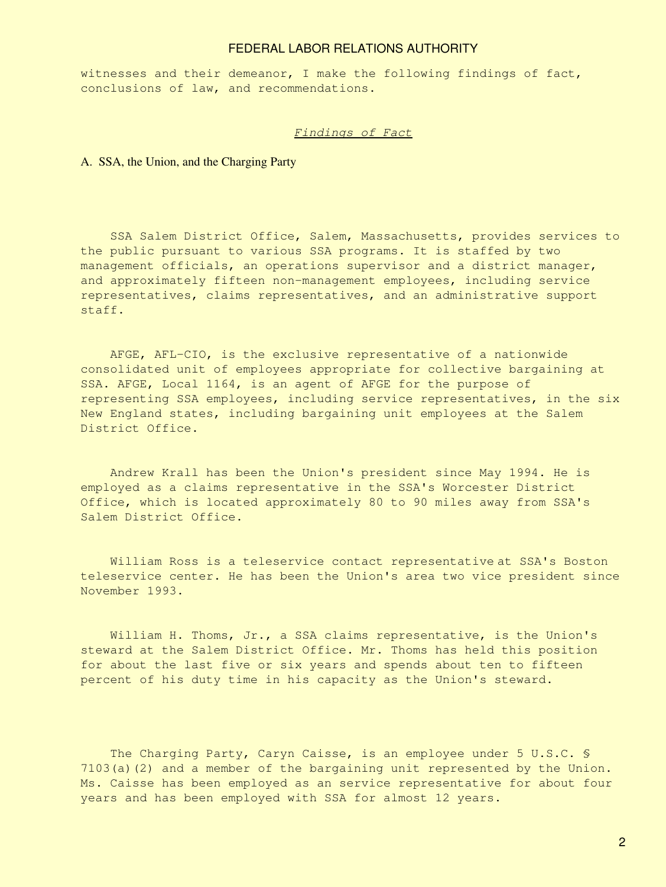witnesses and their demeanor, I make the following findings of fact, conclusions of law, and recommendations.

#### *Findings of Fact*

### A. SSA, the Union, and the Charging Party

 SSA Salem District Office, Salem, Massachusetts, provides services to the public pursuant to various SSA programs. It is staffed by two management officials, an operations supervisor and a district manager, and approximately fifteen non-management employees, including service representatives, claims representatives, and an administrative support staff.

 AFGE, AFL-CIO, is the exclusive representative of a nationwide consolidated unit of employees appropriate for collective bargaining at SSA. AFGE, Local 1164, is an agent of AFGE for the purpose of representing SSA employees, including service representatives, in the six New England states, including bargaining unit employees at the Salem District Office.

 Andrew Krall has been the Union's president since May 1994. He is employed as a claims representative in the SSA's Worcester District Office, which is located approximately 80 to 90 miles away from SSA's Salem District Office.

 William Ross is a teleservice contact representative at SSA's Boston teleservice center. He has been the Union's area two vice president since November 1993.

 William H. Thoms, Jr., a SSA claims representative, is the Union's steward at the Salem District Office. Mr. Thoms has held this position for about the last five or six years and spends about ten to fifteen percent of his duty time in his capacity as the Union's steward.

The Charging Party, Caryn Caisse, is an employee under 5 U.S.C. § 7103(a)(2) and a member of the bargaining unit represented by the Union. Ms. Caisse has been employed as an service representative for about four years and has been employed with SSA for almost 12 years.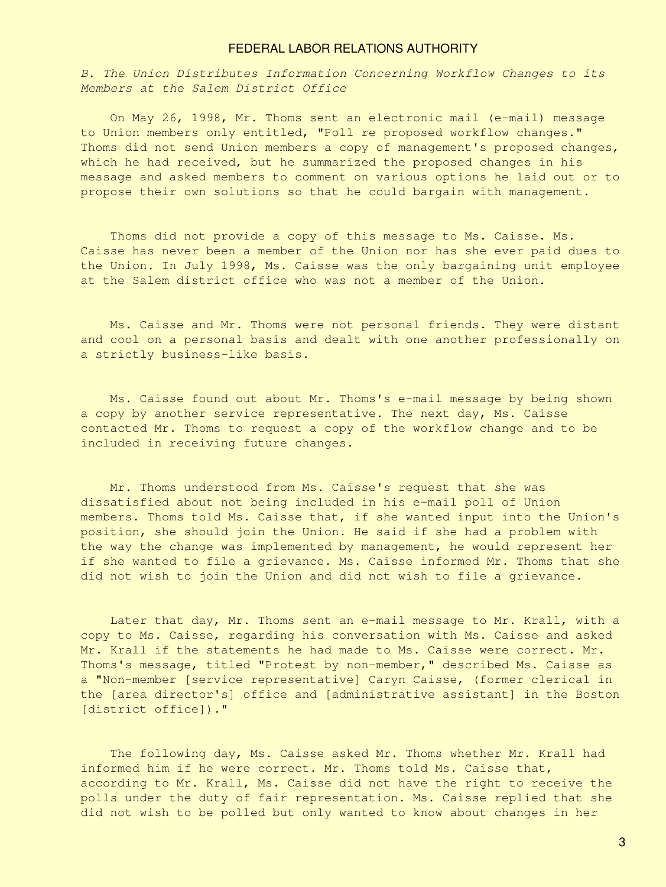*B. The Union Distributes Information Concerning Workflow Changes to its Members at the Salem District Office*

 On May 26, 1998, Mr. Thoms sent an electronic mail (e-mail) message to Union members only entitled, "Poll re proposed workflow changes." Thoms did not send Union members a copy of management's proposed changes, which he had received, but he summarized the proposed changes in his message and asked members to comment on various options he laid out or to propose their own solutions so that he could bargain with management.

 Thoms did not provide a copy of this message to Ms. Caisse. Ms. Caisse has never been a member of the Union nor has she ever paid dues to the Union. In July 1998, Ms. Caisse was the only bargaining unit employee at the Salem district office who was not a member of the Union.

 Ms. Caisse and Mr. Thoms were not personal friends. They were distant and cool on a personal basis and dealt with one another professionally on a strictly business-like basis.

 Ms. Caisse found out about Mr. Thoms's e-mail message by being shown a copy by another service representative. The next day, Ms. Caisse contacted Mr. Thoms to request a copy of the workflow change and to be included in receiving future changes.

 Mr. Thoms understood from Ms. Caisse's request that she was dissatisfied about not being included in his e-mail poll of Union members. Thoms told Ms. Caisse that, if she wanted input into the Union's position, she should join the Union. He said if she had a problem with the way the change was implemented by management, he would represent her if she wanted to file a grievance. Ms. Caisse informed Mr. Thoms that she did not wish to join the Union and did not wish to file a grievance.

Later that day, Mr. Thoms sent an e-mail message to Mr. Krall, with a copy to Ms. Caisse, regarding his conversation with Ms. Caisse and asked Mr. Krall if the statements he had made to Ms. Caisse were correct. Mr. Thoms's message, titled "Protest by non-member," described Ms. Caisse as a "Non-member [service representative] Caryn Caisse, (former clerical in the [area director's] office and [administrative assistant] in the Boston [district office])."

 The following day, Ms. Caisse asked Mr. Thoms whether Mr. Krall had informed him if he were correct. Mr. Thoms told Ms. Caisse that, according to Mr. Krall, Ms. Caisse did not have the right to receive the polls under the duty of fair representation. Ms. Caisse replied that she did not wish to be polled but only wanted to know about changes in her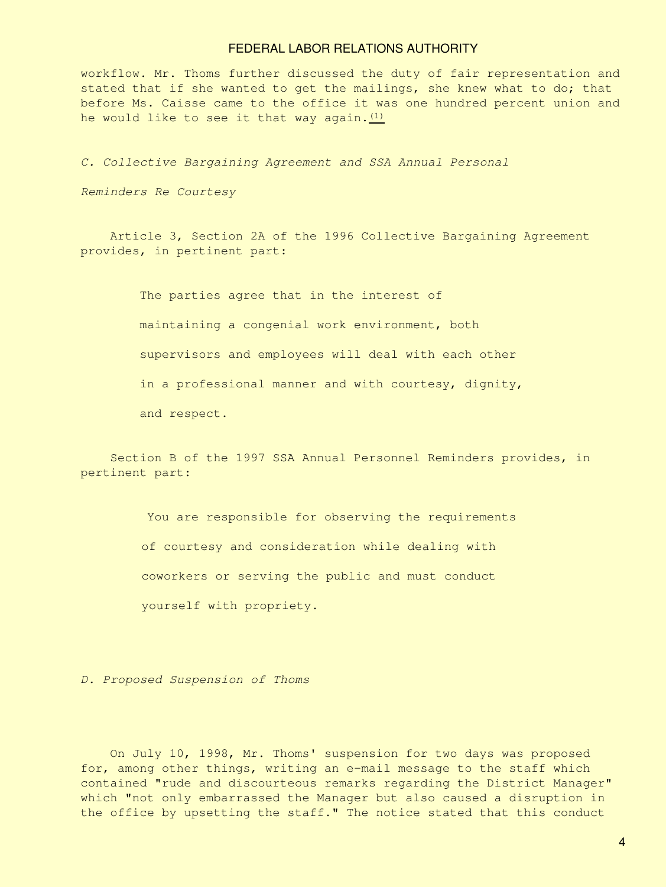workflow. Mr. Thoms further discussed the duty of fair representation and stated that if she wanted to get the mailings, she knew what to do; that before Ms. Caisse came to the office it was one hundred percent union and he would like to see it that way again. $(1)$ 

*C. Collective Bargaining Agreement and SSA Annual Personal*

*Reminders Re Courtesy*

 Article 3, Section 2A of the 1996 Collective Bargaining Agreement provides, in pertinent part:

> The parties agree that in the interest of maintaining a congenial work environment, both supervisors and employees will deal with each other in a professional manner and with courtesy, dignity, and respect.

 Section B of the 1997 SSA Annual Personnel Reminders provides, in pertinent part:

> You are responsible for observing the requirements of courtesy and consideration while dealing with coworkers or serving the public and must conduct yourself with propriety.

*D. Proposed Suspension of Thoms*

 On July 10, 1998, Mr. Thoms' suspension for two days was proposed for, among other things, writing an e-mail message to the staff which contained "rude and discourteous remarks regarding the District Manager" which "not only embarrassed the Manager but also caused a disruption in the office by upsetting the staff." The notice stated that this conduct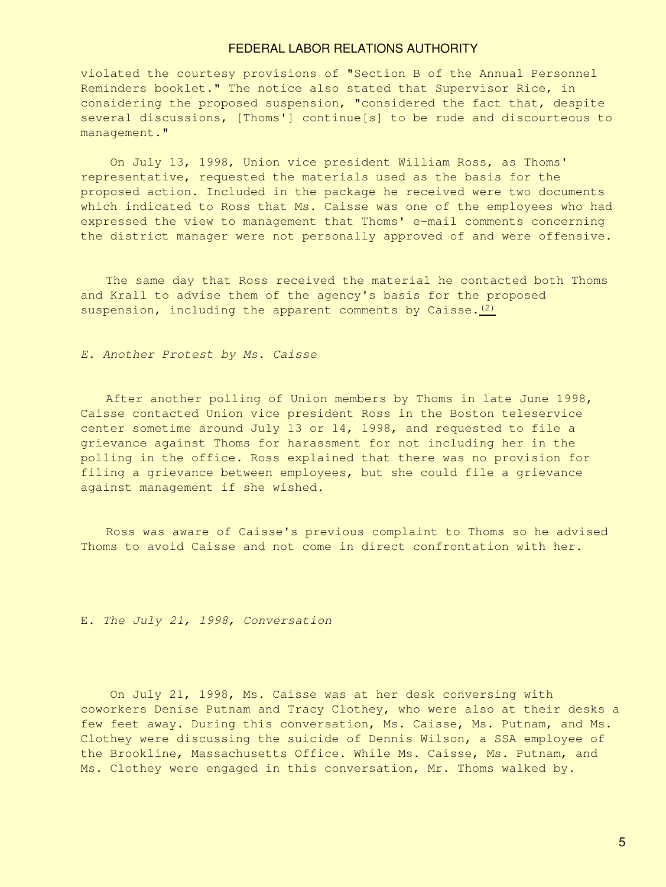violated the courtesy provisions of "Section B of the Annual Personnel Reminders booklet." The notice also stated that Supervisor Rice, in considering the proposed suspension, "considered the fact that, despite several discussions, [Thoms'] continue[s] to be rude and discourteous to management."

 On July 13, 1998, Union vice president William Ross, as Thoms' representative, requested the materials used as the basis for the proposed action. Included in the package he received were two documents which indicated to Ross that Ms. Caisse was one of the employees who had expressed the view to management that Thoms' e-mail comments concerning the district manager were not personally approved of and were offensive.

The same day that Ross received the material he contacted both Thoms and Krall to advise them of the agency's basis for the proposed suspension, including the apparent comments by Caisse. $(2)$ 

#### *E. Another Protest by Ms. Caisse*

After another polling of Union members by Thoms in late June 1998, Caisse contacted Union vice president Ross in the Boston teleservice center sometime around July 13 or 14, 1998, and requested to file a grievance against Thoms for harassment for not including her in the polling in the office. Ross explained that there was no provision for filing a grievance between employees, but she could file a grievance against management if she wished.

Ross was aware of Caisse's previous complaint to Thoms so he advised Thoms to avoid Caisse and not come in direct confrontation with her.

E. *The July 21, 1998, Conversation*

 On July 21, 1998, Ms. Caisse was at her desk conversing with coworkers Denise Putnam and Tracy Clothey, who were also at their desks a few feet away. During this conversation, Ms. Caisse, Ms. Putnam, and Ms. Clothey were discussing the suicide of Dennis Wilson, a SSA employee of the Brookline, Massachusetts Office. While Ms. Caisse, Ms. Putnam, and Ms. Clothey were engaged in this conversation, Mr. Thoms walked by.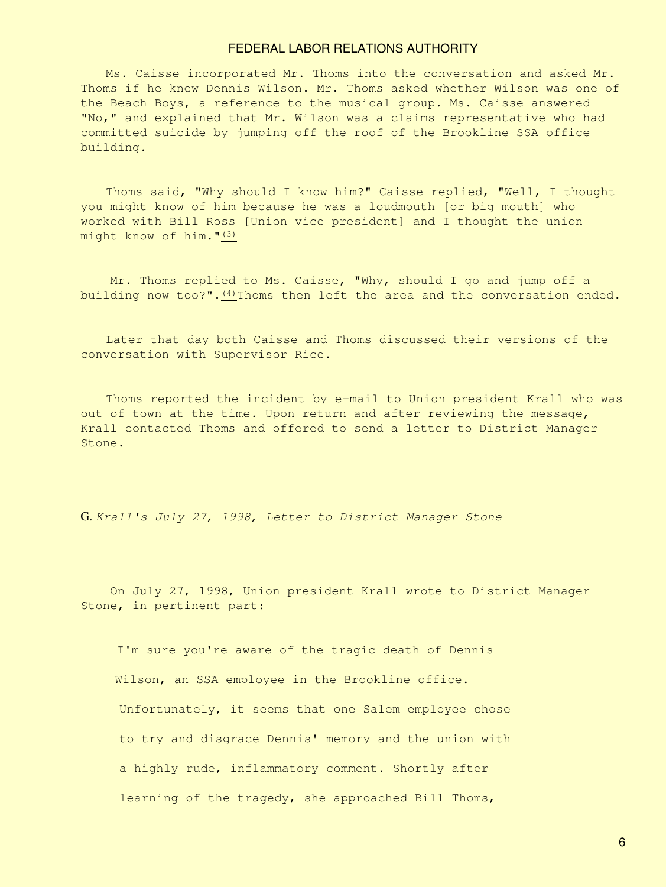Ms. Caisse incorporated Mr. Thoms into the conversation and asked Mr. Thoms if he knew Dennis Wilson. Mr. Thoms asked whether Wilson was one of the Beach Boys, a reference to the musical group. Ms. Caisse answered "No," and explained that Mr. Wilson was a claims representative who had committed suicide by jumping off the roof of the Brookline SSA office building.

Thoms said, "Why should I know him?" Caisse replied, "Well, I thought you might know of him because he was a loudmouth [or big mouth] who worked with Bill Ross [Union vice president] and I thought the union might know of him."[\(3\)](#page-12-0)

 Mr. Thoms replied to Ms. Caisse, "Why, should I go and jump off a building now too?". $(4)$ Thoms then left the area and the conversation ended.

Later that day both Caisse and Thoms discussed their versions of the conversation with Supervisor Rice.

Thoms reported the incident by e-mail to Union president Krall who was out of town at the time. Upon return and after reviewing the message, Krall contacted Thoms and offered to send a letter to District Manager Stone.

G. *Krall's July 27, 1998, Letter to District Manager Stone*

 On July 27, 1998, Union president Krall wrote to District Manager Stone, in pertinent part:

I'm sure you're aware of the tragic death of Dennis Wilson, an SSA employee in the Brookline office. Unfortunately, it seems that one Salem employee chose to try and disgrace Dennis' memory and the union with a highly rude, inflammatory comment. Shortly after learning of the tragedy, she approached Bill Thoms,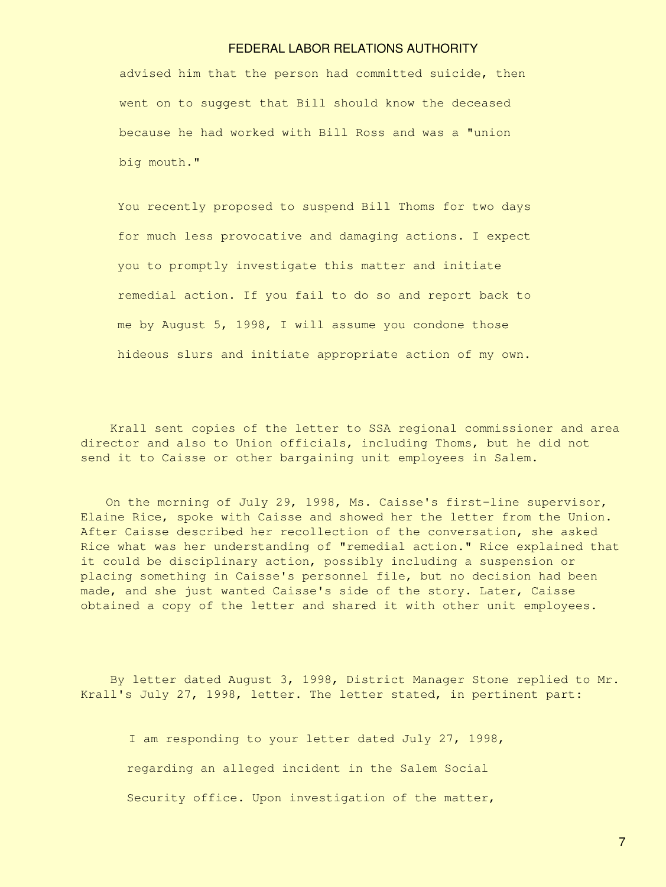advised him that the person had committed suicide, then went on to suggest that Bill should know the deceased because he had worked with Bill Ross and was a "union big mouth."

You recently proposed to suspend Bill Thoms for two days for much less provocative and damaging actions. I expect you to promptly investigate this matter and initiate remedial action. If you fail to do so and report back to me by August 5, 1998, I will assume you condone those hideous slurs and initiate appropriate action of my own.

 Krall sent copies of the letter to SSA regional commissioner and area director and also to Union officials, including Thoms, but he did not send it to Caisse or other bargaining unit employees in Salem.

On the morning of July 29, 1998, Ms. Caisse's first-line supervisor, Elaine Rice, spoke with Caisse and showed her the letter from the Union. After Caisse described her recollection of the conversation, she asked Rice what was her understanding of "remedial action." Rice explained that it could be disciplinary action, possibly including a suspension or placing something in Caisse's personnel file, but no decision had been made, and she just wanted Caisse's side of the story. Later, Caisse obtained a copy of the letter and shared it with other unit employees.

 By letter dated August 3, 1998, District Manager Stone replied to Mr. Krall's July 27, 1998, letter. The letter stated, in pertinent part:

I am responding to your letter dated July 27, 1998, regarding an alleged incident in the Salem Social Security office. Upon investigation of the matter,

7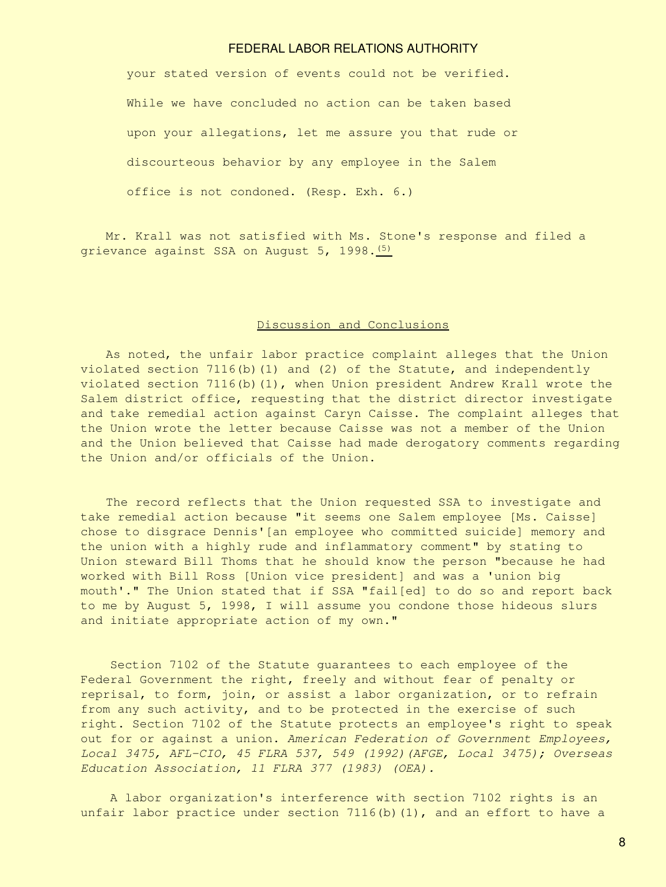your stated version of events could not be verified. While we have concluded no action can be taken based upon your allegations, let me assure you that rude or discourteous behavior by any employee in the Salem office is not condoned. (Resp. Exh. 6.)

Mr. Krall was not satisfied with Ms. Stone's response and filed a grievance against SSA on August 5, 1998.<sup>[\(5\)](#page-12-2)</sup>

#### Discussion and Conclusions

As noted, the unfair labor practice complaint alleges that the Union violated section  $7116(b)(1)$  and  $(2)$  of the Statute, and independently violated section 7116(b)(1), when Union president Andrew Krall wrote the Salem district office, requesting that the district director investigate and take remedial action against Caryn Caisse. The complaint alleges that the Union wrote the letter because Caisse was not a member of the Union and the Union believed that Caisse had made derogatory comments regarding the Union and/or officials of the Union.

The record reflects that the Union requested SSA to investigate and take remedial action because "it seems one Salem employee [Ms. Caisse] chose to disgrace Dennis'[an employee who committed suicide] memory and the union with a highly rude and inflammatory comment" by stating to Union steward Bill Thoms that he should know the person "because he had worked with Bill Ross [Union vice president] and was a 'union big mouth'." The Union stated that if SSA "fail[ed] to do so and report back to me by August 5, 1998, I will assume you condone those hideous slurs and initiate appropriate action of my own."

 Section 7102 of the Statute guarantees to each employee of the Federal Government the right, freely and without fear of penalty or reprisal, to form, join, or assist a labor organization, or to refrain from any such activity, and to be protected in the exercise of such right. Section 7102 of the Statute protects an employee's right to speak out for or against a union. *American Federation of Government Employees, Local 3475, AFL-CIO, 45 FLRA 537, 549 (1992)(AFGE, Local 3475); Overseas Education Association, 11 FLRA 377 (1983) (OEA).*

 A labor organization's interference with section 7102 rights is an unfair labor practice under section  $7116(b)(1)$ , and an effort to have a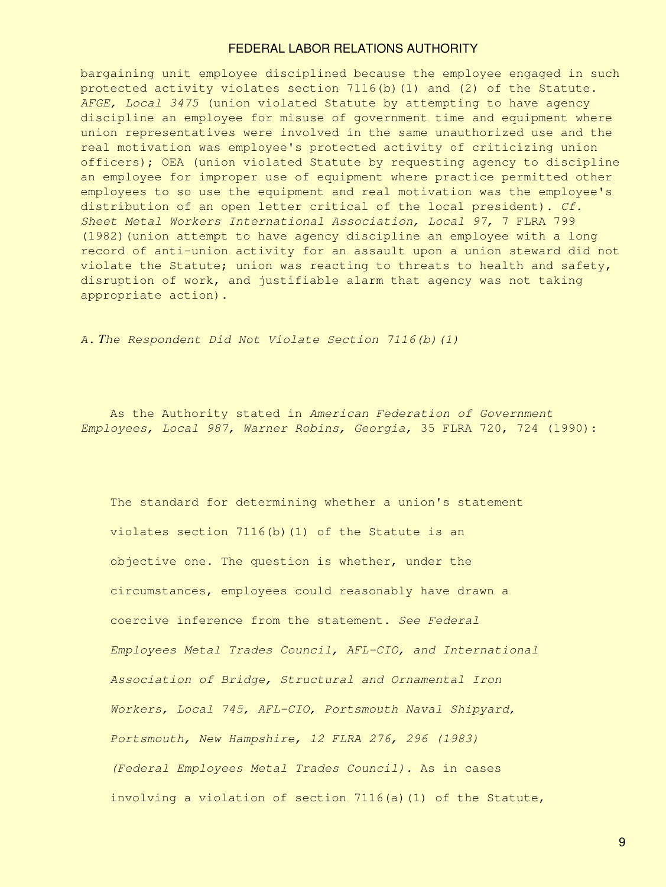bargaining unit employee disciplined because the employee engaged in such protected activity violates section 7116(b)(1) and (2) of the Statute. *AFGE, Local 3475* (union violated Statute by attempting to have agency discipline an employee for misuse of government time and equipment where union representatives were involved in the same unauthorized use and the real motivation was employee's protected activity of criticizing union officers); OEA (union violated Statute by requesting agency to discipline an employee for improper use of equipment where practice permitted other employees to so use the equipment and real motivation was the employee's distribution of an open letter critical of the local president). *Cf. Sheet Metal Workers International Association, Local 97,* 7 FLRA 799 (1982)(union attempt to have agency discipline an employee with a long record of anti-union activity for an assault upon a union steward did not violate the Statute; union was reacting to threats to health and safety, disruption of work, and justifiable alarm that agency was not taking appropriate action).

*A. The Respondent Did Not Violate Section 7116(b)(1)*

 As the Authority stated in *American Federation of Government Employees, Local 987, Warner Robins, Georgia,* 35 FLRA 720, 724 (1990):

 The standard for determining whether a union's statement violates section 7116(b)(1) of the Statute is an objective one. The question is whether, under the circumstances, employees could reasonably have drawn a coercive inference from the statement. *See Federal Employees Metal Trades Council, AFL-CIO, and International Association of Bridge, Structural and Ornamental Iron Workers, Local 745, AFL-CIO, Portsmouth Naval Shipyard, Portsmouth, New Hampshire, 12 FLRA 276, 296 (1983) (Federal Employees Metal Trades Council).* As in cases involving a violation of section 7116(a)(1) of the Statute,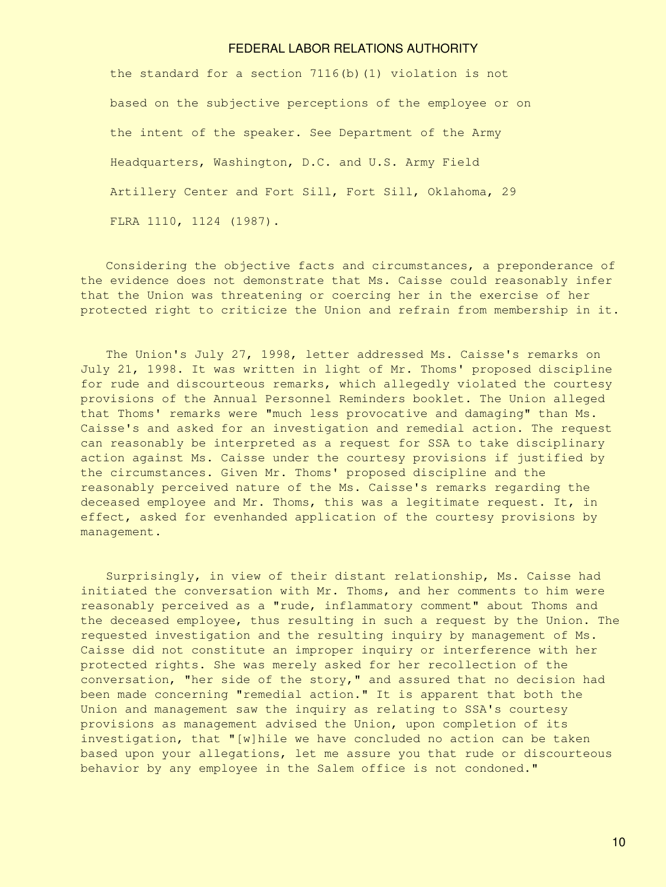the standard for a section 7116(b)(1) violation is not based on the subjective perceptions of the employee or on the intent of the speaker. See Department of the Army Headquarters, Washington, D.C. and U.S. Army Field Artillery Center and Fort Sill, Fort Sill, Oklahoma, 29 FLRA 1110, 1124 (1987).

Considering the objective facts and circumstances, a preponderance of the evidence does not demonstrate that Ms. Caisse could reasonably infer that the Union was threatening or coercing her in the exercise of her protected right to criticize the Union and refrain from membership in it.

The Union's July 27, 1998, letter addressed Ms. Caisse's remarks on July 21, 1998. It was written in light of Mr. Thoms' proposed discipline for rude and discourteous remarks, which allegedly violated the courtesy provisions of the Annual Personnel Reminders booklet. The Union alleged that Thoms' remarks were "much less provocative and damaging" than Ms. Caisse's and asked for an investigation and remedial action. The request can reasonably be interpreted as a request for SSA to take disciplinary action against Ms. Caisse under the courtesy provisions if justified by the circumstances. Given Mr. Thoms' proposed discipline and the reasonably perceived nature of the Ms. Caisse's remarks regarding the deceased employee and Mr. Thoms, this was a legitimate request. It, in effect, asked for evenhanded application of the courtesy provisions by management.

Surprisingly, in view of their distant relationship, Ms. Caisse had initiated the conversation with Mr. Thoms, and her comments to him were reasonably perceived as a "rude, inflammatory comment" about Thoms and the deceased employee, thus resulting in such a request by the Union. The requested investigation and the resulting inquiry by management of Ms. Caisse did not constitute an improper inquiry or interference with her protected rights. She was merely asked for her recollection of the conversation, "her side of the story," and assured that no decision had been made concerning "remedial action." It is apparent that both the Union and management saw the inquiry as relating to SSA's courtesy provisions as management advised the Union, upon completion of its investigation, that "[w]hile we have concluded no action can be taken based upon your allegations, let me assure you that rude or discourteous behavior by any employee in the Salem office is not condoned."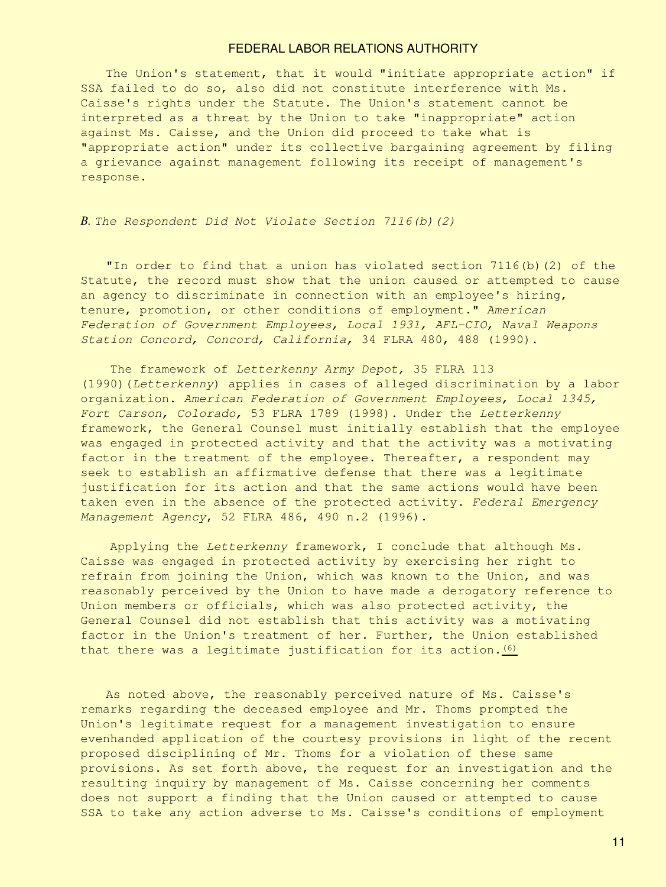The Union's statement, that it would "initiate appropriate action" if SSA failed to do so, also did not constitute interference with Ms. Caisse's rights under the Statute. The Union's statement cannot be interpreted as a threat by the Union to take "inappropriate" action against Ms. Caisse, and the Union did proceed to take what is "appropriate action" under its collective bargaining agreement by filing a grievance against management following its receipt of management's response.

*B. The Respondent Did Not Violate Section 7116(b)(2)*

"In order to find that a union has violated section 7116(b)(2) of the Statute, the record must show that the union caused or attempted to cause an agency to discriminate in connection with an employee's hiring, tenure, promotion, or other conditions of employment." *American Federation of Government Employees, Local 1931, AFL-CIO, Naval Weapons Station Concord, Concord, California,* 34 FLRA 480, 488 (1990).

 The framework of *Letterkenny Army Depot,* 35 FLRA 113 (1990)(*Letterkenny*) applies in cases of alleged discrimination by a labor organization. *American Federation of Government Employees, Local 1345, Fort Carson, Colorado,* 53 FLRA 1789 (1998). Under the *Letterkenny* framework, the General Counsel must initially establish that the employee was engaged in protected activity and that the activity was a motivating factor in the treatment of the employee. Thereafter, a respondent may seek to establish an affirmative defense that there was a legitimate justification for its action and that the same actions would have been taken even in the absence of the protected activity. *Federal Emergency Management Agency*, 52 FLRA 486, 490 n.2 (1996).

 Applying the *Letterkenny* framework, I conclude that although Ms. Caisse was engaged in protected activity by exercising her right to refrain from joining the Union, which was known to the Union, and was reasonably perceived by the Union to have made a derogatory reference to Union members or officials, which was also protected activity, the General Counsel did not establish that this activity was a motivating factor in the Union's treatment of her. Further, the Union established that there was a legitimate justification for its action.  $(6)$ 

As noted above, the reasonably perceived nature of Ms. Caisse's remarks regarding the deceased employee and Mr. Thoms prompted the Union's legitimate request for a management investigation to ensure evenhanded application of the courtesy provisions in light of the recent proposed disciplining of Mr. Thoms for a violation of these same provisions. As set forth above, the request for an investigation and the resulting inquiry by management of Ms. Caisse concerning her comments does not support a finding that the Union caused or attempted to cause SSA to take any action adverse to Ms. Caisse's conditions of employment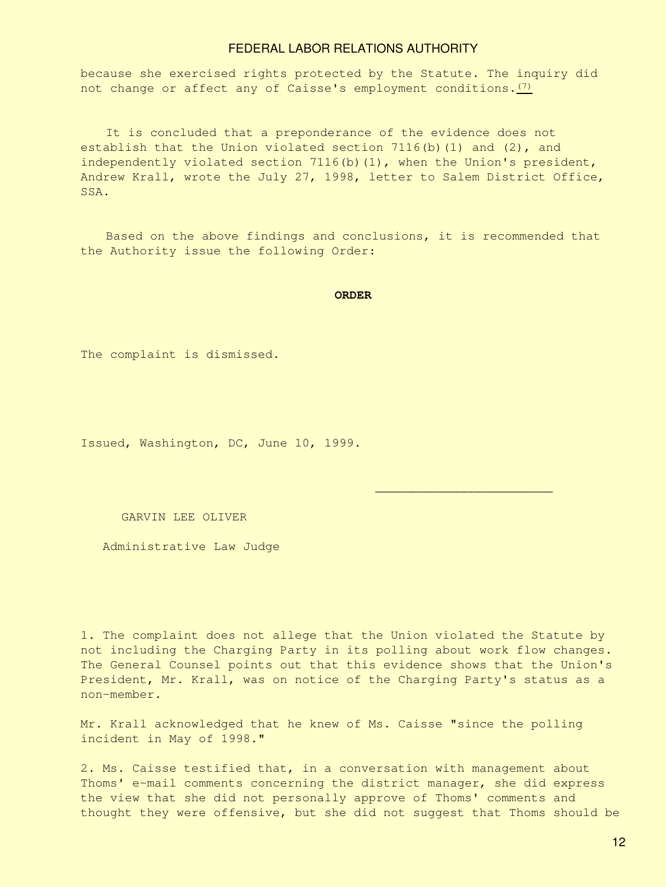because she exercised rights protected by the Statute. The inquiry did not change or affect any of Caisse's employment conditions.  $(7)$ 

It is concluded that a preponderance of the evidence does not establish that the Union violated section  $7116(b)(1)$  and  $(2)$ , and independently violated section 7116(b)(1), when the Union's president, Andrew Krall, wrote the July 27, 1998, letter to Salem District Office, SSA.

Based on the above findings and conclusions, it is recommended that the Authority issue the following Order:

#### **ORDER**

The complaint is dismissed.

Issued, Washington, DC, June 10, 1999.

GARVIN LEE OLIVER

Administrative Law Judge

<span id="page-11-0"></span>1. The complaint does not allege that the Union violated the Statute by not including the Charging Party in its polling about work flow changes. The General Counsel points out that this evidence shows that the Union's President, Mr. Krall, was on notice of the Charging Party's status as a non-member.

Mr. Krall acknowledged that he knew of Ms. Caisse "since the polling incident in May of 1998."

 *\_\_\_\_\_\_\_\_\_\_\_\_\_\_\_\_\_\_\_\_\_\_\_\_*

<span id="page-11-1"></span>2. Ms. Caisse testified that, in a conversation with management about Thoms' e-mail comments concerning the district manager, she did express the view that she did not personally approve of Thoms' comments and thought they were offensive, but she did not suggest that Thoms should be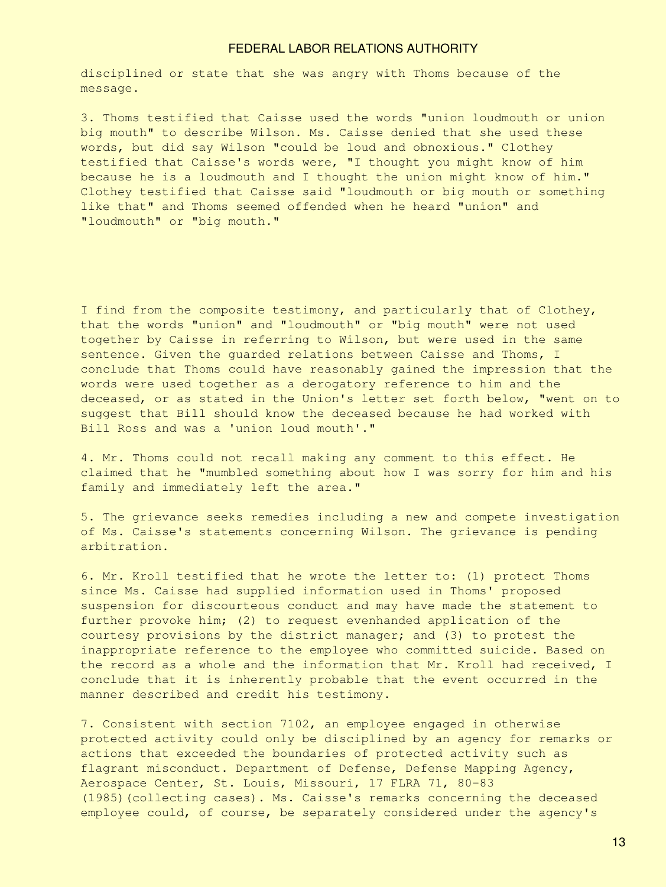disciplined or state that she was angry with Thoms because of the message.

<span id="page-12-0"></span>3. Thoms testified that Caisse used the words "union loudmouth or union big mouth" to describe Wilson. Ms. Caisse denied that she used these words, but did say Wilson "could be loud and obnoxious." Clothey testified that Caisse's words were, "I thought you might know of him because he is a loudmouth and I thought the union might know of him." Clothey testified that Caisse said "loudmouth or big mouth or something like that" and Thoms seemed offended when he heard "union" and "loudmouth" or "big mouth."

I find from the composite testimony, and particularly that of Clothey, that the words "union" and "loudmouth" or "big mouth" were not used together by Caisse in referring to Wilson, but were used in the same sentence. Given the guarded relations between Caisse and Thoms, I conclude that Thoms could have reasonably gained the impression that the words were used together as a derogatory reference to him and the deceased, or as stated in the Union's letter set forth below, "went on to suggest that Bill should know the deceased because he had worked with Bill Ross and was a 'union loud mouth'."

<span id="page-12-1"></span>4. Mr. Thoms could not recall making any comment to this effect. He claimed that he "mumbled something about how I was sorry for him and his family and immediately left the area."

<span id="page-12-2"></span>5. The grievance seeks remedies including a new and compete investigation of Ms. Caisse's statements concerning Wilson. The grievance is pending arbitration.

<span id="page-12-3"></span>6. Mr. Kroll testified that he wrote the letter to: (1) protect Thoms since Ms. Caisse had supplied information used in Thoms' proposed suspension for discourteous conduct and may have made the statement to further provoke him; (2) to request evenhanded application of the courtesy provisions by the district manager; and (3) to protest the inappropriate reference to the employee who committed suicide. Based on the record as a whole and the information that Mr. Kroll had received, I conclude that it is inherently probable that the event occurred in the manner described and credit his testimony.

<span id="page-12-4"></span>7. Consistent with section 7102, an employee engaged in otherwise protected activity could only be disciplined by an agency for remarks or actions that exceeded the boundaries of protected activity such as flagrant misconduct. Department of Defense, Defense Mapping Agency, Aerospace Center, St. Louis, Missouri, 17 FLRA 71, 80-83 (1985)(collecting cases). Ms. Caisse's remarks concerning the deceased employee could, of course, be separately considered under the agency's